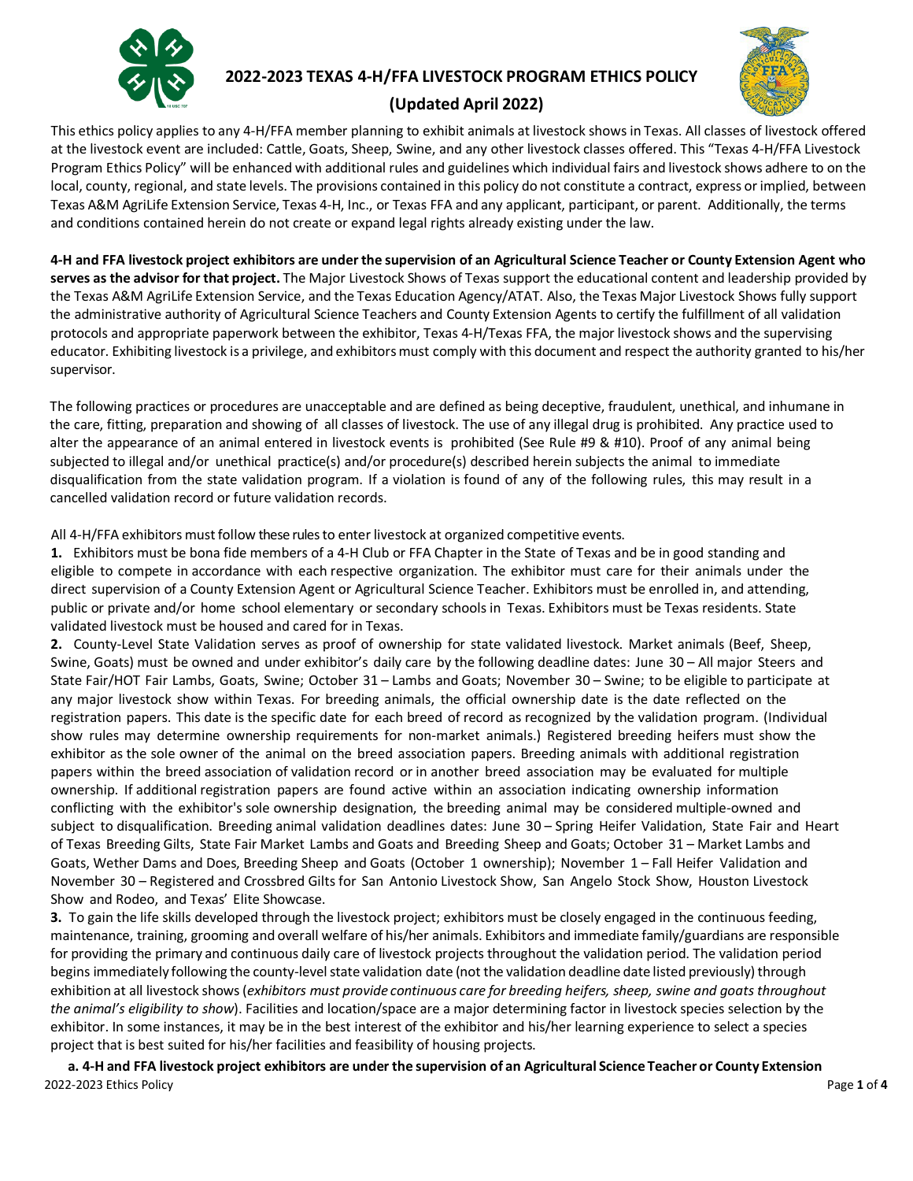

# **2022-2023 TEXAS 4-H/FFA LIVESTOCK PROGRAM ETHICS POLICY**



## **(Updated April 2022)**

This ethics policy applies to any 4-H/FFA member planning to exhibit animals at livestock shows in Texas. All classes of livestock offered at the livestock event are included: Cattle, Goats, Sheep, Swine, and any other livestock classes offered. This "Texas 4-H/FFA Livestock Program Ethics Policy" will be enhanced with additional rules and guidelines which individual fairs and livestock shows adhere to on the local, county, regional, and state levels. The provisions contained in this policy do not constitute a contract, express or implied, between Texas A&M AgriLife Extension Service, Texas 4-H, Inc., or Texas FFA and any applicant, participant, or parent. Additionally, the terms and conditions contained herein do not create or expand legal rights already existing under the law.

4-H and FFA livestock project exhibitors are under the supervision of an Agricultural Science Teacher or County Extension Agent who **serves as the advisor for that project.** The Major Livestock Shows of Texas support the educational content and leadership provided by the Texas A&M AgriLife Extension Service, and the Texas Education Agency/ATAT. Also, the Texas Major Livestock Shows fully support the administrative authority of Agricultural Science Teachers and County Extension Agents to certify the fulfillment of all validation protocols and appropriate paperwork between the exhibitor, Texas 4-H/Texas FFA, the major livestock shows and the supervising educator. Exhibiting livestock is a privilege, and exhibitors must comply with this document and respect the authority granted to his/her supervisor.

The following practices or procedures are unacceptable and are defined as being deceptive, fraudulent, unethical, and inhumane in the care, fitting, preparation and showing of all classes of livestock. The use of any illegal drug is prohibited. Any practice used to alter the appearance of an animal entered in livestock events is prohibited (See Rule #9 & #10). Proof of any animal being subjected to illegal and/or unethical practice(s) and/or procedure(s) described herein subjects the animal to immediate disqualification from the state validation program. If a violation is found of any of the following rules, this may result in a cancelled validation record or future validation records.

All 4-H/FFA exhibitors must follow these rules to enter livestock at organized competitive events.

**1.** Exhibitors must be bona fide members of a 4-H Club or FFA Chapter in the State of Texas and be in good standing and eligible to compete in accordance with each respective organization. The exhibitor must care for their animals under the direct supervision of a County Extension Agent or Agricultural Science Teacher. Exhibitors must be enrolled in, and attending, public or private and/or home school elementary or secondary schools in Texas. Exhibitors must be Texas residents. State validated livestock must be housed and cared for in Texas.

**2.** County-Level State Validation serves as proof of ownership for state validated livestock. Market animals (Beef, Sheep, Swine, Goats) must be owned and under exhibitor's daily care by the following deadline dates: June 30 – All major Steers and State Fair/HOT Fair Lambs, Goats, Swine; October 31 – Lambs and Goats; November 30 – Swine; to be eligible to participate at any major livestock show within Texas. For breeding animals, the official ownership date is the date reflected on the registration papers. This date is the specific date for each breed of record as recognized by the validation program. (Individual show rules may determine ownership requirements for non-market animals.) Registered breeding heifers must show the exhibitor as the sole owner of the animal on the breed association papers. Breeding animals with additional registration papers within the breed association of validation record or in another breed association may be evaluated for multiple ownership. If additional registration papers are found active within an association indicating ownership information conflicting with the exhibitor's sole ownership designation, the breeding animal may be considered multiple-owned and subject to disqualification. Breeding animal validation deadlines dates: June 30 – Spring Heifer Validation, State Fair and Heart of Texas Breeding Gilts, State Fair Market Lambs and Goats and Breeding Sheep and Goats; October 31 – Market Lambs and Goats, Wether Dams and Does, Breeding Sheep and Goats (October 1 ownership); November 1 – Fall Heifer Validation and November 30 – Registered and Crossbred Gilts for San Antonio Livestock Show, San Angelo Stock Show, Houston Livestock Show and Rodeo, and Texas' Elite Showcase.

**3.** To gain the life skills developed through the livestock project; exhibitors must be closely engaged in the continuous feeding, maintenance, training, grooming and overall welfare of his/her animals. Exhibitors and immediate family/guardians are responsible for providing the primary and continuous daily care of livestock projects throughout the validation period. The validation period begins immediately following the county-level state validation date (not the validation deadline date listed previously) through exhibition at all livestock shows(*exhibitors must provide continuous care for breeding heifers, sheep, swine and goats throughout the animal's eligibility to show*). Facilities and location/space are a major determining factor in livestock species selection by the exhibitor. In some instances, it may be in the best interest of the exhibitor and his/her learning experience to select a species project that is best suited for his/her facilities and feasibility of housing projects.

2022-2023 Ethics Policy Page **1** of **4** a. 4-H and FFA livestock project exhibitors are under the supervision of an Agricultural Science Teacher or County Extension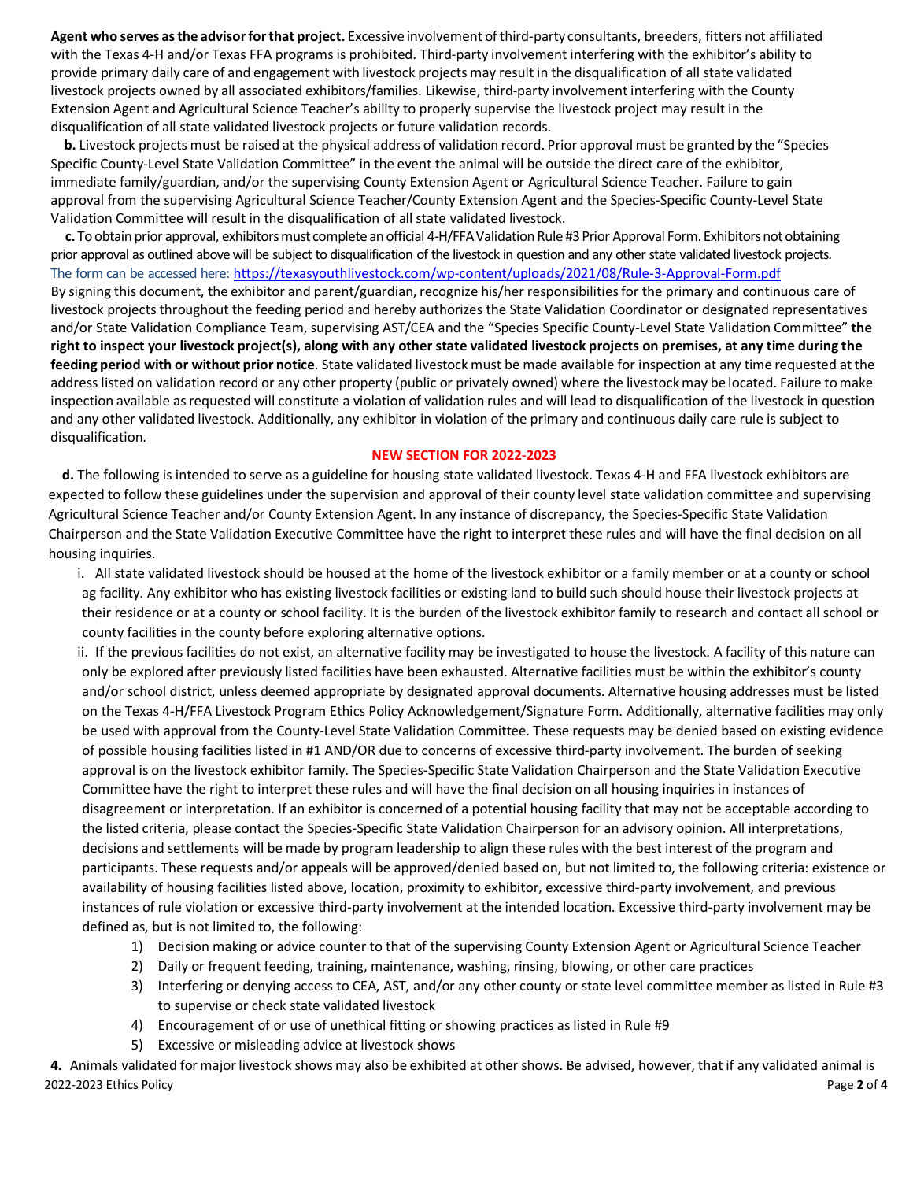**Agent who serves asthe advisorforthat project.** Excessive involvement of third-party consultants, breeders, fitters not affiliated with the Texas 4-H and/or Texas FFA programs is prohibited. Third-party involvement interfering with the exhibitor's ability to provide primary daily care of and engagement with livestock projects may result in the disqualification of all state validated livestock projects owned by all associated exhibitors/families. Likewise, third-party involvement interfering with the County Extension Agent and Agricultural Science Teacher's ability to properly supervise the livestock project may result in the disqualification of all state validated livestock projects or future validation records.

**b.** Livestock projects must be raised at the physical address of validation record. Prior approval must be granted by the "Species Specific County-Level State Validation Committee" in the event the animal will be outside the direct care of the exhibitor, immediate family/guardian, and/or the supervising County Extension Agent or Agricultural Science Teacher. Failure to gain approval from the supervising Agricultural Science Teacher/County Extension Agent and the Species-Specific County-Level State Validation Committee will result in the disqualification of all state validated livestock.

**c.** To obtain prior approval, exhibitorsmust completean official 4-H/FFAValidation Rule #3Prior Approval Form. Exhibitorsnot obtaining prior approval as outlined above will be subject to disqualification of the livestock in question and any other state validated livestock projects. The form can be accessed here: <https://texasyouthlivestock.com/wp-content/uploads/2021/08/Rule-3-Approval-Form.pdf> By signing this document, the exhibitor and parent/guardian, recognize his/her responsibilitiesfor the primary and continuous care of livestock projects throughout the feeding period and hereby authorizes the State Validation Coordinator or designated representatives and/or State Validation Compliance Team, supervising AST/CEA and the "Species Specific County-Level State Validation Committee" **the right to inspect your livestock project(s), along with any other state validated livestock projects on premises, at any time during the feeding period with or without prior notice**. State validated livestock must be made available for inspection at any time requested atthe address listed on validation record or any other property (public or privately owned) where the livestockmay be located. Failure tomake inspection available as requested will constitute a violation of validation rules and will lead to disqualification of the livestock in question and any other validated livestock. Additionally, any exhibitor in violation of the primary and continuous daily care rule is subject to disqualification.

#### **NEW SECTION FOR 2022-2023**

 **d.** The following is intended to serve as a guideline for housing state validated livestock. Texas 4-H and FFA livestock exhibitors are expected to follow these guidelines under the supervision and approval of their county level state validation committee and supervising Agricultural Science Teacher and/or County Extension Agent. In any instance of discrepancy, the Species-Specific State Validation Chairperson and the State Validation Executive Committee have the right to interpret these rules and will have the final decision on all housing inquiries.

- i. All state validated livestock should be housed at the home of the livestock exhibitor or a family member or at a county or school ag facility. Any exhibitor who has existing livestock facilities or existing land to build such should house their livestock projects at their residence or at a county or school facility. It is the burden of the livestock exhibitor family to research and contact all school or county facilities in the county before exploring alternative options.
- ii. If the previous facilities do not exist, an alternative facility may be investigated to house the livestock. A facility of this nature can only be explored after previously listed facilities have been exhausted. Alternative facilities must be within the exhibitor's county and/or school district, unless deemed appropriate by designated approval documents. Alternative housing addresses must be listed on the Texas 4-H/FFA Livestock Program Ethics Policy Acknowledgement/Signature Form. Additionally, alternative facilities may only be used with approval from the County-Level State Validation Committee. These requests may be denied based on existing evidence of possible housing facilities listed in #1 AND/OR due to concerns of excessive third-party involvement. The burden of seeking approval is on the livestock exhibitor family. The Species-Specific State Validation Chairperson and the State Validation Executive Committee have the right to interpret these rules and will have the final decision on all housing inquiries in instances of disagreement or interpretation. If an exhibitor is concerned of a potential housing facility that may not be acceptable according to the listed criteria, please contact the Species-Specific State Validation Chairperson for an advisory opinion. All interpretations, decisions and settlements will be made by program leadership to align these rules with the best interest of the program and participants. These requests and/or appeals will be approved/denied based on, but not limited to, the following criteria: existence or availability of housing facilities listed above, location, proximity to exhibitor, excessive third-party involvement, and previous instances of rule violation or excessive third-party involvement at the intended location. Excessive third-party involvement may be defined as, but is not limited to, the following:
	- 1) Decision making or advice counter to that of the supervising County Extension Agent or Agricultural Science Teacher
	- 2) Daily or frequent feeding, training, maintenance, washing, rinsing, blowing, or other care practices
	- 3) Interfering or denying access to CEA, AST, and/or any other county or state level committee member as listed in Rule #3 to supervise or check state validated livestock
	- 4) Encouragement of or use of unethical fitting or showing practices as listed in Rule #9
	- 5) Excessive or misleading advice at livestock shows

2022-2023 Ethics Policy Page **2** of **4 4.** Animals validated for majorlivestock showsmay also be exhibited at other shows. Be advised, however, that if any validated animal is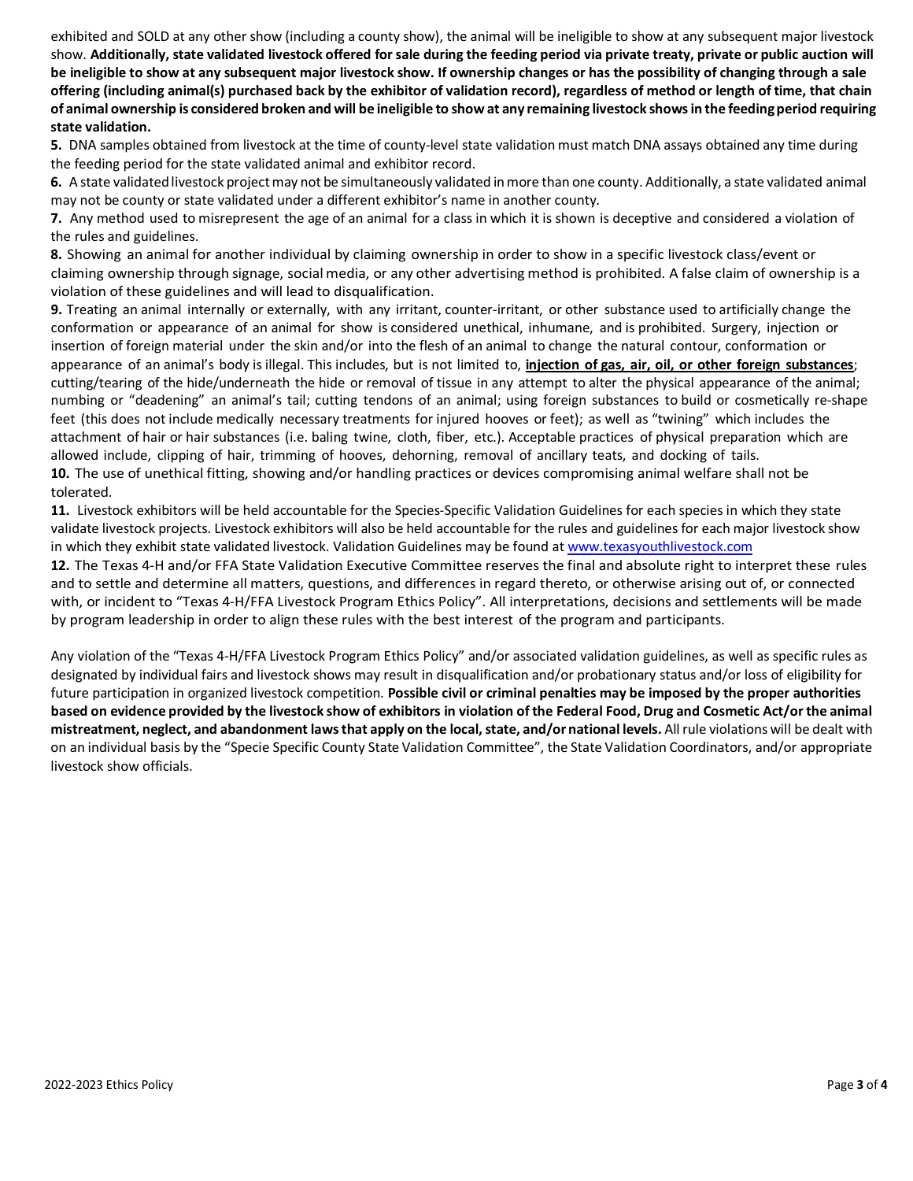exhibited and SOLD at any other show (including a county show), the animal will be ineligible to show at any subsequent major livestock show. **Additionally, state validated livestock offered forsale during the feeding period via private treaty, private or public auction will be ineligible to show at any subsequent major livestock show. If ownership changes or has the possibility of changing through a sale offering (including animal(s) purchased back by the exhibitor of validation record), regardless of method or length of time, that chain**  of animal ownership is considered broken and will be ineligible to show at any remaining livestock shows in the feeding period requiring **state validation.**

**5.** DNA samples obtained from livestock at the time of county-level state validation must match DNA assays obtained any time during the feeding period for the state validated animal and exhibitor record.

**6.** A state validated livestock project may not be simultaneously validated in more than one county. Additionally, a state validated animal may not be county or state validated under a different exhibitor's name in another county.

**7.** Any method used to misrepresent the age of an animal for a class in which it is shown is deceptive and considered a violation of the rules and guidelines.

**8.** Showing an animal for another individual by claiming ownership in order to show in a specific livestock class/event or claiming ownership through signage, socialmedia, or any other advertising method is prohibited. A false claim of ownership is a violation of these guidelines and will lead to disqualification.

**9.** Treating an animal internally or externally, with any irritant, counter-irritant, or other substance used to artificially change the conformation or appearance of an animal for show is considered unethical, inhumane, and is prohibited. Surgery, injection or insertion of foreign material under the skin and/or into the flesh of an animal to change the natural contour, conformation or appearance of an animal's body is illegal. This includes, but is not limited to, **injection of gas, air, oil, or other foreign substances**; cutting/tearing of the hide/underneath the hide or removal of tissue in any attempt to alter the physical appearance of the animal; numbing or "deadening" an animal's tail; cutting tendons of an animal; using foreign substances to build or cosmetically re-shape feet (this does not include medically necessary treatments for injured hooves or feet); as well as "twining" which includes the attachment of hair or hair substances (i.e. baling twine, cloth, fiber, etc.). Acceptable practices of physical preparation which are allowed include, clipping of hair, trimming of hooves, dehorning, removal of ancillary teats, and docking of tails. **10.** The use of unethical fitting, showing and/or handling practices or devices compromising animal welfare shall not be tolerated.

**11.** Livestock exhibitors will be held accountable for the Species-Specific Validation Guidelines for each species in which they state validate livestock projects. Livestock exhibitors will also be held accountable for the rules and guidelines for each major livestock show in which they exhibit state validated livestock. Validation Guidelines may be found a[t www.texasyouthlivestock.com](http://www.texasyouthlivestock.com/)

**12.** The Texas 4-H and/or FFA State Validation Executive Committee reserves the final and absolute right to interpret these rules and to settle and determine all matters, questions, and differences in regard thereto, or otherwise arising out of, or connected with, or incident to "Texas 4-H/FFA Livestock Program Ethics Policy". All interpretations, decisions and settlements will be made by program leadership in order to align these rules with the best interest of the program and participants.

Any violation of the "Texas 4-H/FFA Livestock Program Ethics Policy" and/or associated validation guidelines, as well as specific rules as designated by individual fairs and livestock shows may result in disqualification and/or probationary status and/or loss of eligibility for future participation in organized livestock competition. **Possible civil or criminal penalties may be imposed by the proper authorities**  based on evidence provided by the livestock show of exhibitors in violation of the Federal Food, Drug and Cosmetic Act/or the animal **mistreatment, neglect, and abandonment lawsthat apply on the local,state, and/or national levels.** All rule violations will be dealt with on an individual basis by the "Specie Specific County State Validation Committee", the State Validation Coordinators, and/or appropriate livestock show officials.